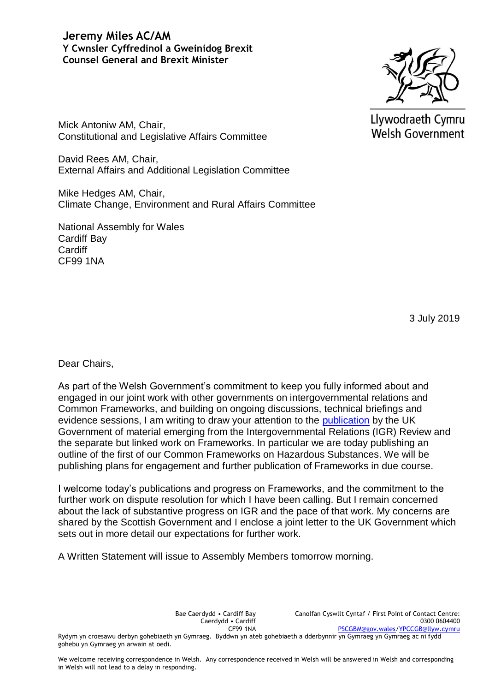## **Jeremy Miles AC/AM Y Cwnsler Cyffredinol a Gweinidog Brexit Counsel General and Brexit Minister**



Llywodraeth Cymru **Welsh Government** 

Mick Antoniw AM, Chair, Constitutional and Legislative Affairs Committee

David Rees AM, Chair, External Affairs and Additional Legislation Committee

Mike Hedges AM, Chair, Climate Change, Environment and Rural Affairs Committee

National Assembly for Wales Cardiff Bay **Cardiff** CF99 1NA

3 July 2019

Dear Chairs,

As part of the Welsh Government's commitment to keep you fully informed about and engaged in our joint work with other governments on intergovernmental relations and Common Frameworks, and building on ongoing discussions, technical briefings and evidence sessions, I am writing to draw your attention to the [publication](https://www.parliament.uk/business/publications/written-questions-answers-statements/written-statement/Commons/2019-07-03/HCWS1687/) by the UK Government of material emerging from the Intergovernmental Relations (IGR) Review and the separate but linked work on Frameworks. In particular we are today publishing an outline of the first of our Common Frameworks on Hazardous Substances. We will be publishing plans for engagement and further publication of Frameworks in due course.

I welcome today's publications and progress on Frameworks, and the commitment to the further work on dispute resolution for which I have been calling. But I remain concerned about the lack of substantive progress on IGR and the pace of that work. My concerns are shared by the Scottish Government and I enclose a joint letter to the UK Government which sets out in more detail our expectations for further work.

A Written Statement will issue to Assembly Members tomorrow morning.

Bae Caerdydd • Cardiff Bay Caerdydd • Cardiff CF99 1NA Canolfan Cyswllt Cyntaf / First Point of Contact Centre: 0300 0604400 [PSCGBM@gov.wales](mailto:PSCGBM@gov.wales)[/YPCCGB@llyw.cymru](mailto:YPCCGB@llyw.cymru)

Rydym yn croesawu derbyn gohebiaeth yn Gymraeg. Byddwn yn ateb gohebiaeth a dderbynnir yn Gymraeg yn Gymraeg ac ni fydd gohebu yn Gymraeg yn arwain at oedi.

We welcome receiving correspondence in Welsh. Any correspondence received in Welsh will be answered in Welsh and corresponding in Welsh will not lead to a delay in responding.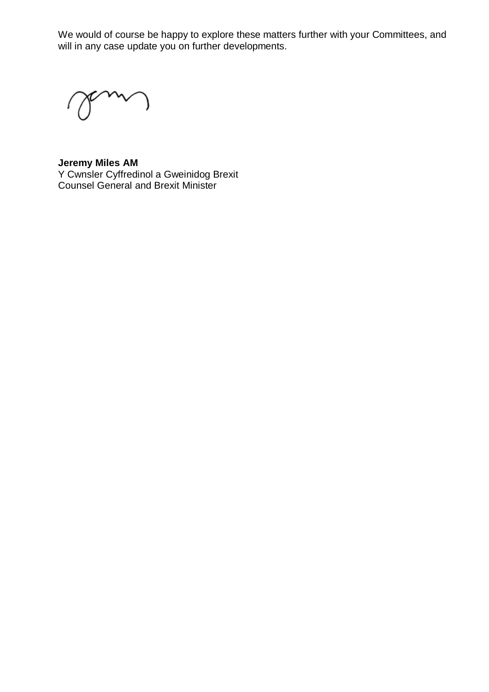We would of course be happy to explore these matters further with your Committees, and will in any case update you on further developments.

**Jeremy Miles AM** Y Cwnsler Cyffredinol a Gweinidog Brexit Counsel General and Brexit Minister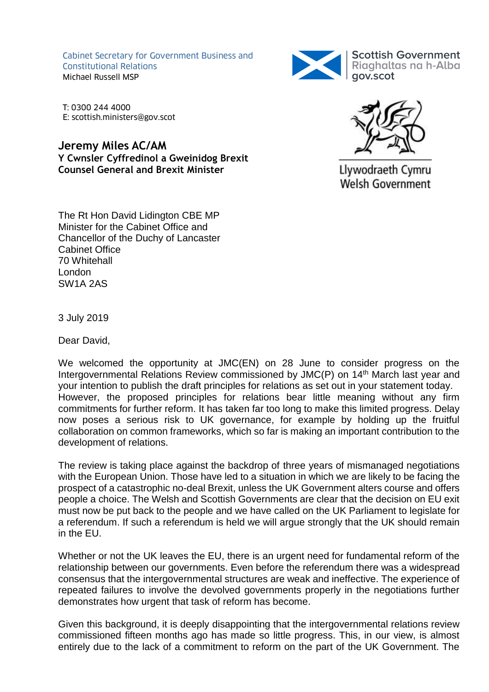Cabinet Secretary for Government Business and Constitutional Relations Michael Russell MSP



T: 0300 244 4000 E: scottish.ministers@gov.scot

**Jeremy Miles AC/AM Y Cwnsler Cyffredinol a Gweinidog Brexit Counsel General and Brexit Minister**



Llywodraeth Cymru **Welsh Government** 

The Rt Hon David Lidington CBE MP Minister for the Cabinet Office and Chancellor of the Duchy of Lancaster Cabinet Office 70 Whitehall London SW1A 2AS

3 July 2019

Dear David,

We welcomed the opportunity at JMC(EN) on 28 June to consider progress on the Intergovernmental Relations Review commissioned by JMC(P) on 14<sup>th</sup> March last year and your intention to publish the draft principles for relations as set out in your statement today. However, the proposed principles for relations bear little meaning without any firm commitments for further reform. It has taken far too long to make this limited progress. Delay now poses a serious risk to UK governance, for example by holding up the fruitful collaboration on common frameworks, which so far is making an important contribution to the development of relations.

The review is taking place against the backdrop of three years of mismanaged negotiations with the European Union. Those have led to a situation in which we are likely to be facing the prospect of a catastrophic no-deal Brexit, unless the UK Government alters course and offers people a choice. The Welsh and Scottish Governments are clear that the decision on EU exit must now be put back to the people and we have called on the UK Parliament to legislate for a referendum. If such a referendum is held we will argue strongly that the UK should remain in the EU.

Whether or not the UK leaves the EU, there is an urgent need for fundamental reform of the relationship between our governments. Even before the referendum there was a widespread consensus that the intergovernmental structures are weak and ineffective. The experience of repeated failures to involve the devolved governments properly in the negotiations further demonstrates how urgent that task of reform has become.

Given this background, it is deeply disappointing that the intergovernmental relations review commissioned fifteen months ago has made so little progress. This, in our view, is almost entirely due to the lack of a commitment to reform on the part of the UK Government. The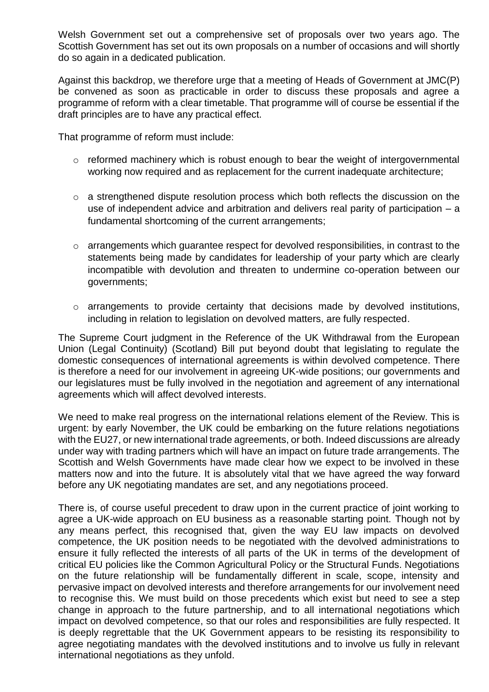Welsh Government set out a comprehensive set of proposals over two years ago. The Scottish Government has set out its own proposals on a number of occasions and will shortly do so again in a dedicated publication.

Against this backdrop, we therefore urge that a meeting of Heads of Government at JMC(P) be convened as soon as practicable in order to discuss these proposals and agree a programme of reform with a clear timetable. That programme will of course be essential if the draft principles are to have any practical effect.

That programme of reform must include:

- o reformed machinery which is robust enough to bear the weight of intergovernmental working now required and as replacement for the current inadequate architecture;
- o a strengthened dispute resolution process which both reflects the discussion on the use of independent advice and arbitration and delivers real parity of participation – a fundamental shortcoming of the current arrangements;
- o arrangements which guarantee respect for devolved responsibilities, in contrast to the statements being made by candidates for leadership of your party which are clearly incompatible with devolution and threaten to undermine co-operation between our governments;
- o arrangements to provide certainty that decisions made by devolved institutions, including in relation to legislation on devolved matters, are fully respected.

The Supreme Court judgment in the Reference of the UK Withdrawal from the European Union (Legal Continuity) (Scotland) Bill put beyond doubt that legislating to regulate the domestic consequences of international agreements is within devolved competence. There is therefore a need for our involvement in agreeing UK-wide positions; our governments and our legislatures must be fully involved in the negotiation and agreement of any international agreements which will affect devolved interests.

We need to make real progress on the international relations element of the Review. This is urgent: by early November, the UK could be embarking on the future relations negotiations with the EU27, or new international trade agreements, or both. Indeed discussions are already under way with trading partners which will have an impact on future trade arrangements. The Scottish and Welsh Governments have made clear how we expect to be involved in these matters now and into the future. It is absolutely vital that we have agreed the way forward before any UK negotiating mandates are set, and any negotiations proceed.

There is, of course useful precedent to draw upon in the current practice of joint working to agree a UK-wide approach on EU business as a reasonable starting point. Though not by any means perfect, this recognised that, given the way EU law impacts on devolved competence, the UK position needs to be negotiated with the devolved administrations to ensure it fully reflected the interests of all parts of the UK in terms of the development of critical EU policies like the Common Agricultural Policy or the Structural Funds. Negotiations on the future relationship will be fundamentally different in scale, scope, intensity and pervasive impact on devolved interests and therefore arrangements for our involvement need to recognise this. We must build on those precedents which exist but need to see a step change in approach to the future partnership, and to all international negotiations which impact on devolved competence, so that our roles and responsibilities are fully respected. It is deeply regrettable that the UK Government appears to be resisting its responsibility to agree negotiating mandates with the devolved institutions and to involve us fully in relevant international negotiations as they unfold.